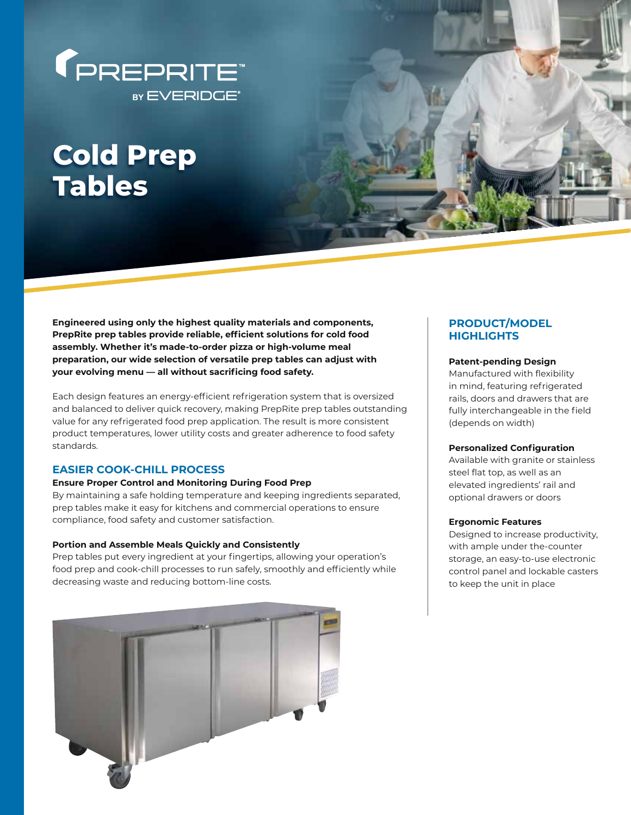

# **Cold Prep Tables**

**Engineered using only the highest quality materials and components, PrepRite prep tables provide reliable, efficient solutions for cold food assembly. Whether it's made-to-order pizza or high-volume meal preparation, our wide selection of versatile prep tables can adjust with your evolving menu — all without sacrificing food safety.**

Each design features an energy-efficient refrigeration system that is oversized and balanced to deliver quick recovery, making PrepRite prep tables outstanding value for any refrigerated food prep application. The result is more consistent product temperatures, lower utility costs and greater adherence to food safety standards.

## **EASIER COOK-CHILL PROCESS**

#### **Ensure Proper Control and Monitoring During Food Prep**

By maintaining a safe holding temperature and keeping ingredients separated, prep tables make it easy for kitchens and commercial operations to ensure compliance, food safety and customer satisfaction.

### **Portion and Assemble Meals Quickly and Consistently**

Prep tables put every ingredient at your fingertips, allowing your operation's food prep and cook-chill processes to run safely, smoothly and efficiently while decreasing waste and reducing bottom-line costs.



# **PRODUCT/MODEL HIGHLIGHTS**

#### **Patent-pending Design**

Manufactured with flexibility in mind, featuring refrigerated rails, doors and drawers that are fully interchangeable in the field (depends on width)

#### **Personalized Configuration**

Available with granite or stainless steel flat top, as well as an elevated ingredients' rail and optional drawers or doors

#### **Ergonomic Features**

Designed to increase productivity, with ample under the-counter storage, an easy-to-use electronic control panel and lockable casters to keep the unit in place